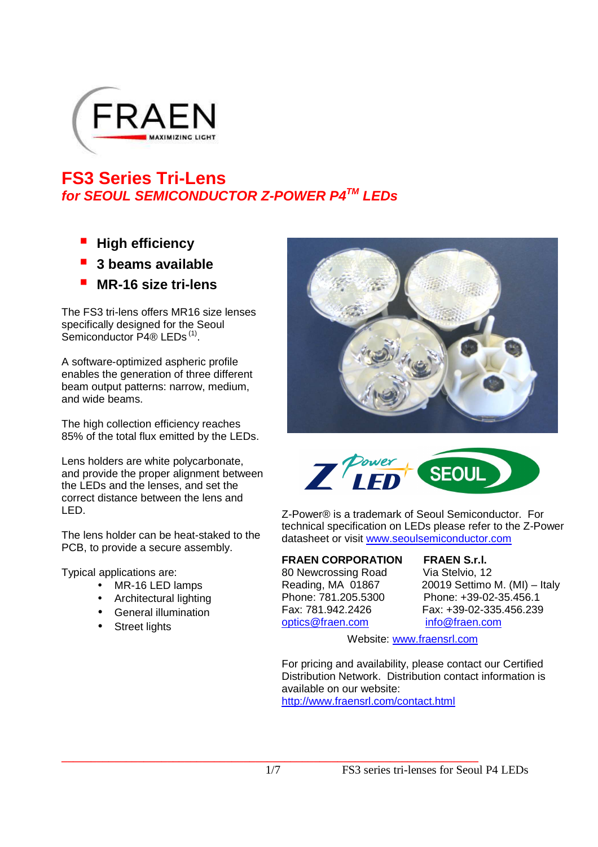

# **FS3 Series Tri-Lens for SEOUL SEMICONDUCTOR Z-POWER P4TM LEDs**

- **High efficiency**
- **3 beams available**
- **MR-16 size tri-lens**

The FS3 tri-lens offers MR16 size lenses specifically designed for the Seoul Semiconductor P4® LEDs<sup>(1)</sup>.

A software-optimized aspheric profile enables the generation of three different beam output patterns: narrow, medium, and wide beams.

The high collection efficiency reaches 85% of the total flux emitted by the LEDs.

Lens holders are white polycarbonate, and provide the proper alignment between the LEDs and the lenses, and set the correct distance between the lens and LED.

The lens holder can be heat-staked to the PCB, to provide a secure assembly.

Typical applications are:

- MR-16 LED lamps
- Architectural lighting
- General illumination
- **Street lights**





Z-Power® is a trademark of Seoul Semiconductor. For technical specification on LEDs please refer to the Z-Power datasheet or visit www.seoulsemiconductor.com

#### **FRAEN CORPORATION FRAEN S.r.l.**

80 Newcrossing Road Via Stelvio, 12 Fax: 781.942.2426 Fax: +39-02-335.456.239 optics@fraen.com info@fraen.com

Reading, MA 01867 20019 Settimo M. (MI) – Italy Phone: 781.205.5300 Phone: +39-02-35.456.1

Website: www.fraensrl.com

For pricing and availability, please contact our Certified Distribution Network. Distribution contact information is available on our website: http://www.fraensrl.com/contact.html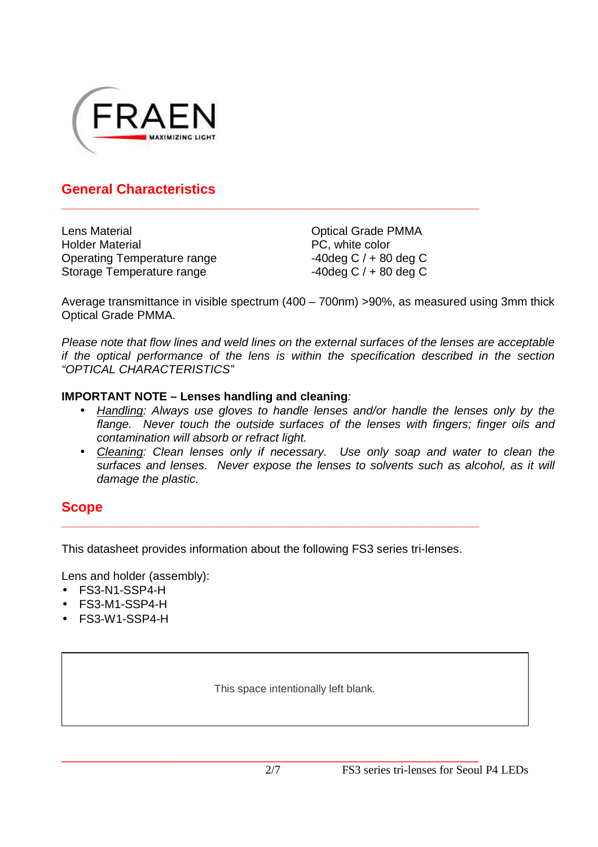

#### **General Characteristics**

Lens Material Holder Material Operating Temperature range Storage Temperature range

Optical Grade PMMA PC, white color  $-40$ deg C  $/ + 80$  deg C  $-40$ deg C  $/ + 80$  deg C

Average transmittance in visible spectrum (400 – 700nm) >90%, as measured using 3mm thick Optical Grade PMMA.

**\_\_\_\_\_\_\_\_\_\_\_\_\_\_\_\_\_\_\_\_\_\_\_\_\_\_\_\_\_\_\_\_\_\_\_\_\_\_\_\_\_\_\_\_\_\_\_\_\_\_\_\_\_\_\_\_\_\_\_\_\_\_\_\_** 

Please note that flow lines and weld lines on the external surfaces of the lenses are acceptable if the optical performance of the lens is within the specification described in the section "OPTICAL CHARACTERISTICS"

#### **IMPORTANT NOTE – Lenses handling and cleaning**:

- Handling: Always use gloves to handle lenses and/or handle the lenses only by the flange. Never touch the outside surfaces of the lenses with fingers; finger oils and contamination will absorb or refract light.
- Cleaning: Clean lenses only if necessary. Use only soap and water to clean the surfaces and lenses. Never expose the lenses to solvents such as alcohol, as it will damage the plastic.

#### **Scope**

This datasheet provides information about the following FS3 series tri-lenses.

**\_\_\_\_\_\_\_\_\_\_\_\_\_\_\_\_\_\_\_\_\_\_\_\_\_\_\_\_\_\_\_\_\_\_\_\_\_\_\_\_\_\_\_\_\_\_\_\_\_\_\_\_\_\_\_\_\_\_\_\_\_\_\_\_** 

Lens and holder (assembly):

- FS3-N1-SSP4-H
- FS3-M1-SSP4-H
- FS3-W1-SSP4-H

This space intentionally left blank.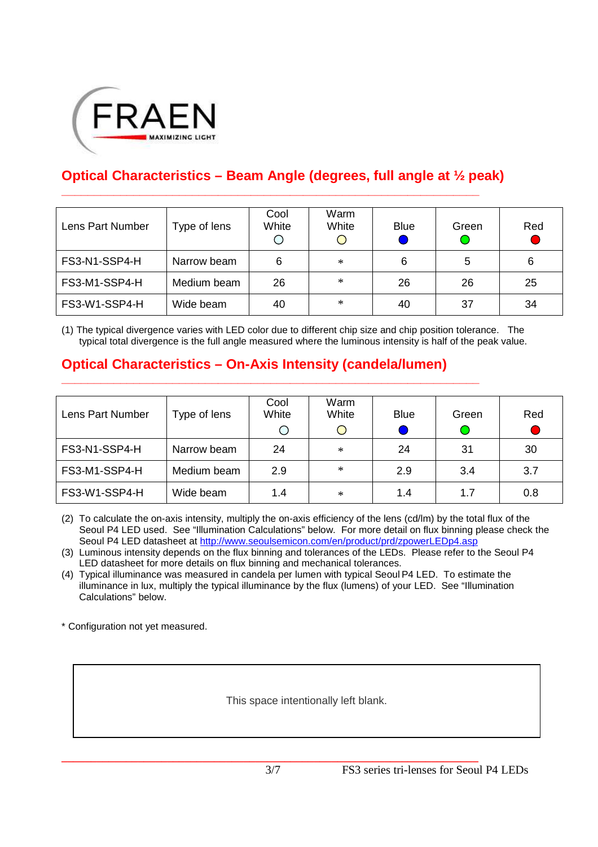

## **Optical Characteristics – Beam Angle (degrees, full angle at ½ peak)**

**\_\_\_\_\_\_\_\_\_\_\_\_\_\_\_\_\_\_\_\_\_\_\_\_\_\_\_\_\_\_\_\_\_\_\_\_\_\_\_\_\_\_\_\_\_\_\_\_\_\_\_\_\_\_\_\_\_\_\_\_\_\_\_\_** 

| Lens Part Number             | Type of lens | Cool<br>White | Warm<br>White | <b>Blue</b> | Green | Red |
|------------------------------|--------------|---------------|---------------|-------------|-------|-----|
| FS3-N1-SSP4-H                | Narrow beam  | 6             | $\ast$        | 6           | 5     | 6   |
| FS3-M1-SSP4-H<br>Medium beam |              | 26            | $\ast$        | 26          | 26    | 25  |
| FS3-W1-SSP4-H                | Wide beam    | 40            | $\ast$        | 40          | 37    | 34  |

(1) The typical divergence varies with LED color due to different chip size and chip position tolerance. The typical total divergence is the full angle measured where the luminous intensity is half of the peak value.

### **Optical Characteristics – On-Axis Intensity (candela/lumen)**

**\_\_\_\_\_\_\_\_\_\_\_\_\_\_\_\_\_\_\_\_\_\_\_\_\_\_\_\_\_\_\_\_\_\_\_\_\_\_\_\_\_\_\_\_\_\_\_\_\_\_\_\_\_\_\_\_\_\_\_\_\_\_\_\_**

| Lens Part Number             | Type of lens | Cool<br>White | Warm<br>White<br>Ő | <b>Blue</b> | Green | Red |
|------------------------------|--------------|---------------|--------------------|-------------|-------|-----|
| FS3-N1-SSP4-H                | Narrow beam  | 24            | $\ast$             | 24          | 31    | 30  |
| FS3-M1-SSP4-H<br>Medium beam |              | 2.9           | $\ast$             | 2.9         | 3.4   | 3.7 |
| FS3-W1-SSP4-H                | Wide beam    | 1.4           | $\ast$             | 1.4         | 1.7   | 0.8 |

(2) To calculate the on-axis intensity, multiply the on-axis efficiency of the lens (cd/lm) by the total flux of the Seoul P4 LED used. See "Illumination Calculations" below. For more detail on flux binning please check the Seoul P4 LED datasheet at http://www.seoulsemicon.com/en/product/prd/zpowerLEDp4.asp

(3) Luminous intensity depends on the flux binning and tolerances of the LEDs. Please refer to the Seoul P4 LED datasheet for more details on flux binning and mechanical tolerances.

(4) Typical illuminance was measured in candela per lumen with typical Seoul P4 LED. To estimate the illuminance in lux, multiply the typical illuminance by the flux (lumens) of your LED. See "Illumination Calculations" below.

\* Configuration not yet measured.

This space intentionally left blank.

**\_\_\_\_\_\_\_\_\_\_\_\_\_\_\_\_\_\_\_\_\_\_\_\_\_\_\_\_\_\_\_\_\_\_\_\_\_\_\_\_\_\_\_\_\_\_\_\_\_\_\_\_\_\_\_\_\_\_\_\_\_\_\_\_\_\_\_\_\_\_\_**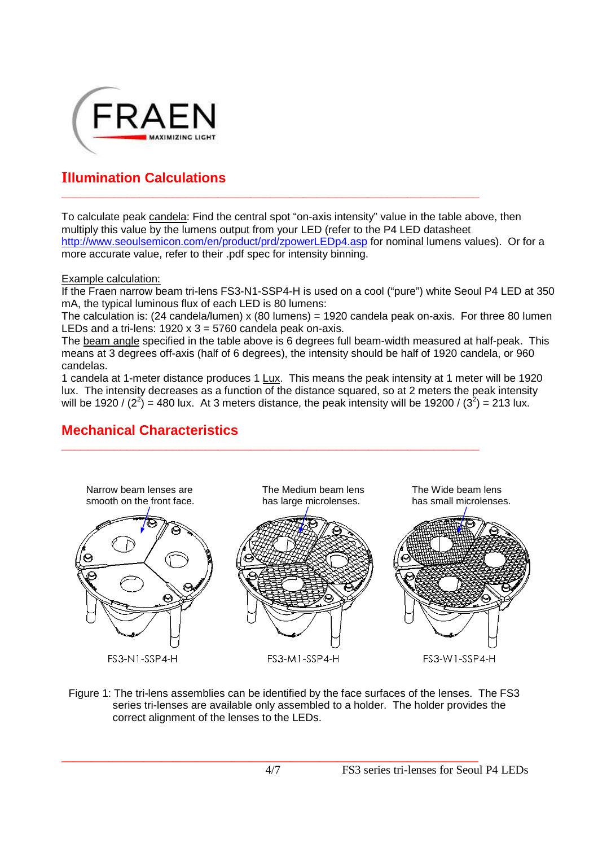

## **Illumination Calculations**

To calculate peak candela: Find the central spot "on-axis intensity" value in the table above, then multiply this value by the lumens output from your LED (refer to the P4 LED datasheet http://www.seoulsemicon.com/en/product/prd/zpowerLEDp4.asp for nominal lumens values). Or for a more accurate value, refer to their .pdf spec for intensity binning.

**\_\_\_\_\_\_\_\_\_\_\_\_\_\_\_\_\_\_\_\_\_\_\_\_\_\_\_\_\_\_\_\_\_\_\_\_\_\_\_\_\_\_\_\_\_\_\_\_\_\_\_\_\_\_\_\_\_\_\_\_\_\_\_\_** 

#### Example calculation:

If the Fraen narrow beam tri-lens FS3-N1-SSP4-H is used on a cool ("pure") white Seoul P4 LED at 350 mA, the typical luminous flux of each LED is 80 lumens:

The calculation is: (24 candela/lumen) x (80 lumens) = 1920 candela peak on-axis. For three 80 lumen LEDs and a tri-lens:  $1920 \times 3 = 5760$  candela peak on-axis.

The beam angle specified in the table above is 6 degrees full beam-width measured at half-peak. This means at 3 degrees off-axis (half of 6 degrees), the intensity should be half of 1920 candela, or 960 candelas.

1 candela at 1-meter distance produces 1 Lux. This means the peak intensity at 1 meter will be 1920 lux. The intensity decreases as a function of the distance squared, so at 2 meters the peak intensity will be 1920 / (2<sup>2</sup>) = 480 lux. At 3 meters distance, the peak intensity will be 19200 / (3<sup>2</sup>) = 213 lux.

**\_\_\_\_\_\_\_\_\_\_\_\_\_\_\_\_\_\_\_\_\_\_\_\_\_\_\_\_\_\_\_\_\_\_\_\_\_\_\_\_\_\_\_\_\_\_\_\_\_\_\_\_\_\_\_\_\_\_\_\_\_\_\_\_** 

### **Mechanical Characteristics**



Figure 1: The tri-lens assemblies can be identified by the face surfaces of the lenses. The FS3 series tri-lenses are available only assembled to a holder. The holder provides the correct alignment of the lenses to the LEDs.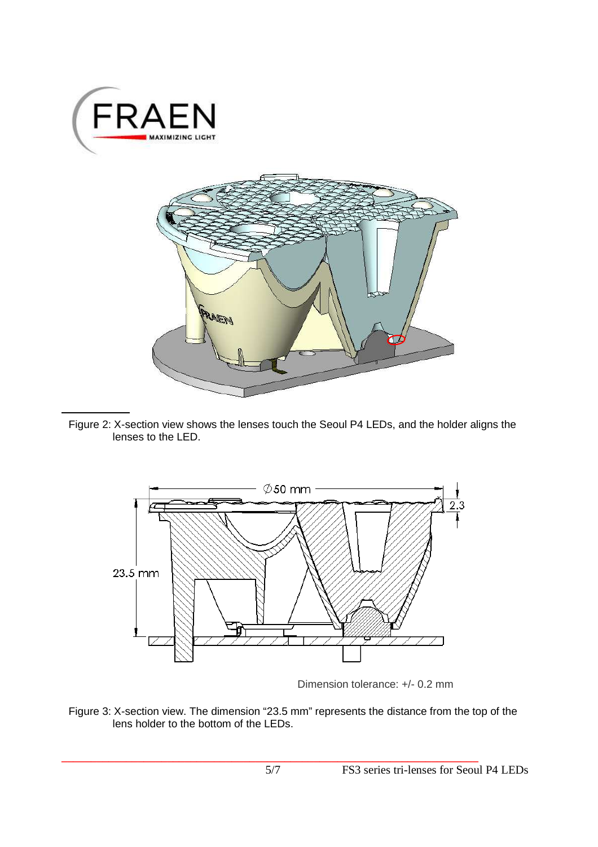



Figure 2: X-section view shows the lenses touch the Seoul P4 LEDs, and the holder aligns the lenses to the LED.



Dimension tolerance: +/- 0.2 mm

Figure 3: X-section view. The dimension "23.5 mm" represents the distance from the top of the lens holder to the bottom of the LEDs.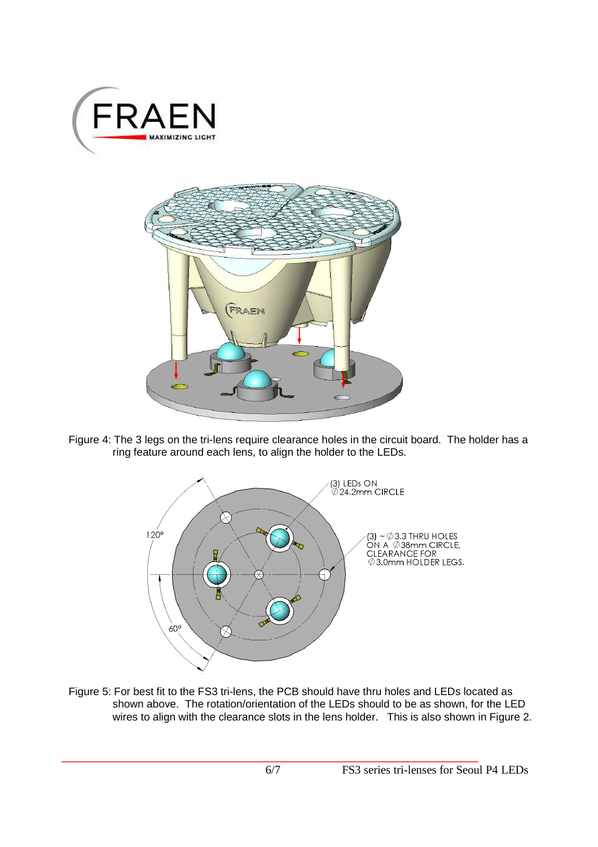



Figure 4: The 3 legs on the tri-lens require clearance holes in the circuit board. The holder has a ring feature around each lens, to align the holder to the LEDs.



Figure 5: For best fit to the FS3 tri-lens, the PCB should have thru holes and LEDs located as shown above. The rotation/orientation of the LEDs should to be as shown, for the LED wires to align with the clearance slots in the lens holder. This is also shown in Figure 2.